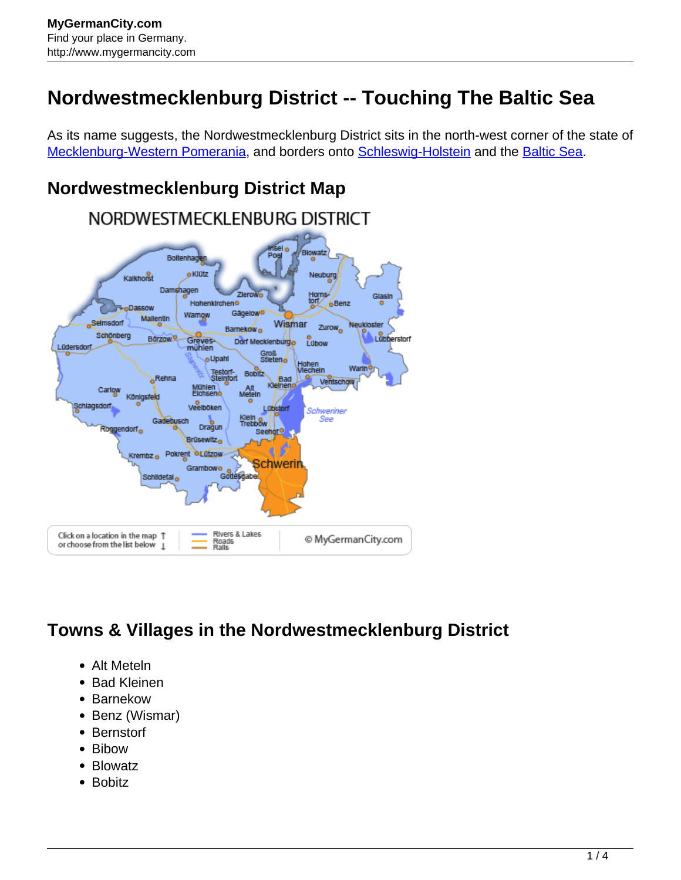## **Nordwestmecklenburg District -- Touching The Baltic Sea**

As its name suggests, the Nordwestmecklenburg District sits in the north-west corner of the state of [Mecklenburg-Western Pomerania](http://www.mygermancity.com/mecklenburg-western-pomerania), and borders onto [Schleswig-Holstein](http://www.mygermancity.com/schleswig-holstein) and the [Baltic Sea](http://www.mygermancity.com/baltic-sea).

## **Nordwestmecklenburg District Map**



## **Towns & Villages in the Nordwestmecklenburg District**

- Alt Meteln
- Bad Kleinen
- Barnekow
- Benz (Wismar)
- Bernstorf
- Bibow
- Blowatz
- Bobitz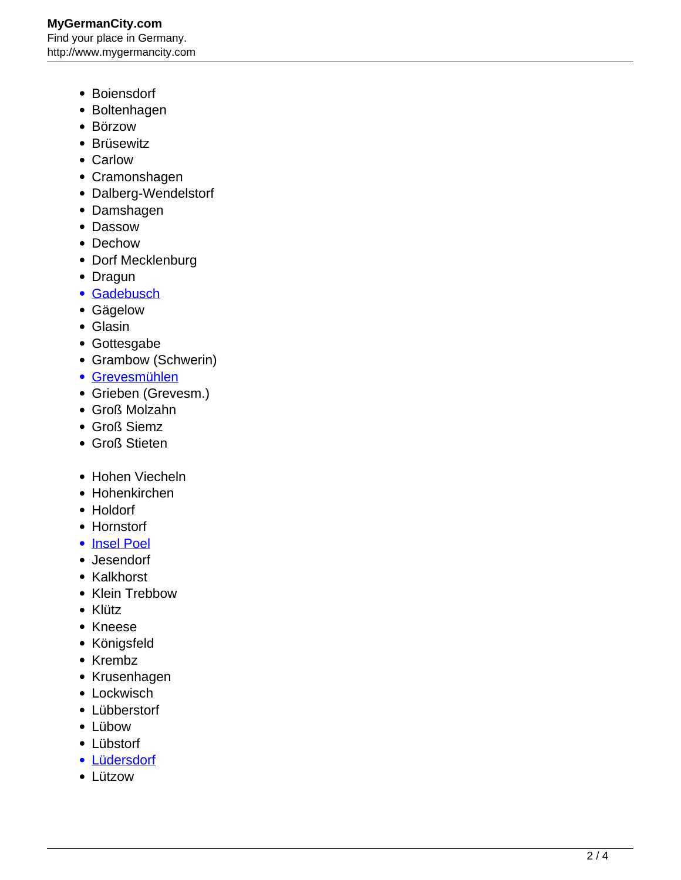- Boiensdorf
- Boltenhagen
- Börzow
- Brüsewitz
- Carlow
- Cramonshagen
- Dalberg-Wendelstorf
- Damshagen
- Dassow
- Dechow
- Dorf Mecklenburg
- Dragun
- [Gadebusch](http://www.mygermancity.com/gadebusch)
- Gägelow
- Glasin
- Gottesgabe
- Grambow (Schwerin)
- [Grevesmühlen](http://www.mygermancity.com/grevesmuehlen)
- Grieben (Grevesm.)
- Groß Molzahn
- Groß Siemz
- Groß Stieten
- Hohen Viecheln
- Hohenkirchen
- Holdorf
- Hornstorf
- [Insel Poel](http://www.mygermancity.com/poel)
- Jesendorf
- Kalkhorst
- Klein Trebbow
- Klütz
- Kneese
- Königsfeld
- Krembz
- Krusenhagen
- Lockwisch
- Lübberstorf
- Lübow
- Lübstorf
- [Lüdersdorf](http://www.mygermancity.com/luedersdorf)
- Lützow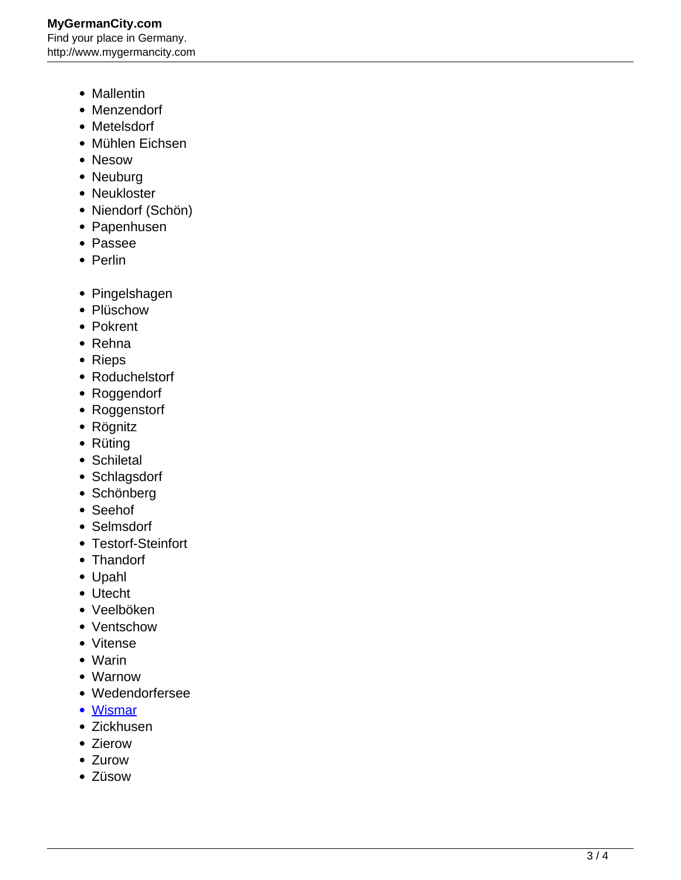## **MyGermanCity.com** Find your place in Germany. http://www.mygermancity.com

- Mallentin
- Menzendorf
- Metelsdorf
- Mühlen Eichsen
- Nesow
- Neuburg
- Neukloster
- Niendorf (Schön)
- Papenhusen
- Passee
- Perlin
- Pingelshagen
- Plüschow
- Pokrent
- Rehna
- Rieps
- Roduchelstorf
- Roggendorf
- Roggenstorf
- Rögnitz
- Rüting
- Schiletal
- Schlagsdorf
- Schönberg
- Seehof
- Selmsdorf
- Testorf-Steinfort
- Thandorf
- Upahl
- Utecht
- Veelböken
- Ventschow
- Vitense
- Warin
- Warnow
- Wedendorfersee
- [Wismar](http://www.mygermancity.com/wismar)
- Zickhusen
- Zierow
- Zurow
- Züsow